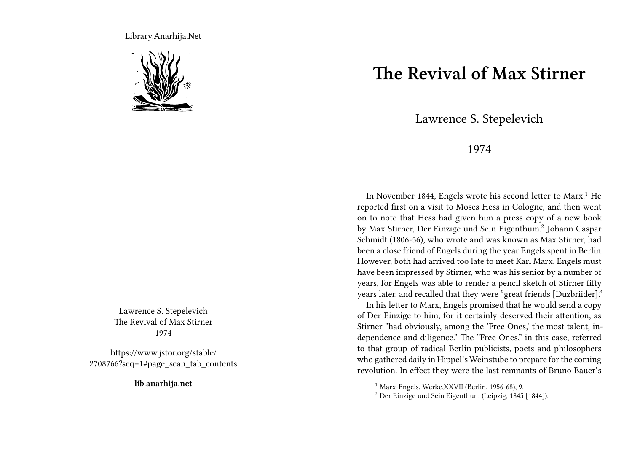Library.Anarhija.Net



Lawrence S. Stepelevich The Revival of Max Stirner 1974

https://www.jstor.org/stable/ 2708766?seq=1#page\_scan\_tab\_contents

**lib.anarhija.net**

## **The Revival of Max Stirner**

Lawrence S. Stepelevich

## 1974

In November 1844, Engels wrote his second letter to Marx.<sup>1</sup> He reported first on a visit to Moses Hess in Cologne, and then went on to note that Hess had given him a press copy of a new book by Max Stirner, Der Einzige und Sein Eigenthum.<sup>2</sup> Johann Caspar Schmidt (1806-56), who wrote and was known as Max Stirner, had been a close friend of Engels during the year Engels spent in Berlin. However, both had arrived too late to meet Karl Marx. Engels must have been impressed by Stirner, who was his senior by a number of years, for Engels was able to render a pencil sketch of Stirner fifty years later, and recalled that they were "great friends [Duzbriider]."

In his letter to Marx, Engels promised that he would send a copy of Der Einzige to him, for it certainly deserved their attention, as Stirner "had obviously, among the 'Free Ones,' the most talent, independence and diligence." The "Free Ones," in this case, referred to that group of radical Berlin publicists, poets and philosophers who gathered daily in Hippel's Weinstube to prepare for the coming revolution. In effect they were the last remnants of Bruno Bauer's

<sup>1</sup> Marx-Engels, Werke,XXVII (Berlin, 1956-68), 9.

<sup>2</sup> Der Einzige und Sein Eigenthum (Leipzig, 1845 [1844]).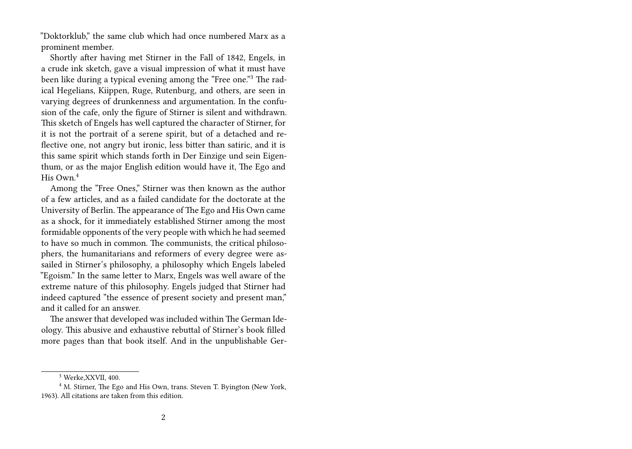"Doktorklub," the same club which had once numbered Marx as a prominent member.

Shortly after having met Stirner in the Fall of 1842, Engels, in a crude ink sketch, gave a visual impression of what it must have been like during a typical evening among the "Free one."<sup>3</sup> The radical Hegelians, Kiippen, Ruge, Rutenburg, and others, are seen in varying degrees of drunkenness and argumentation. In the confusion of the cafe, only the figure of Stirner is silent and withdrawn. This sketch of Engels has well captured the character of Stirner, for it is not the portrait of a serene spirit, but of a detached and reflective one, not angry but ironic, less bitter than satiric, and it is this same spirit which stands forth in Der Einzige und sein Eigenthum, or as the major English edition would have it, The Ego and His Own<sup>4</sup>

Among the "Free Ones," Stirner was then known as the author of a few articles, and as a failed candidate for the doctorate at the University of Berlin. The appearance of The Ego and His Own came as a shock, for it immediately established Stirner among the most formidable opponents of the very people with which he had seemed to have so much in common. The communists, the critical philosophers, the humanitarians and reformers of every degree were assailed in Stirner's philosophy, a philosophy which Engels labeled "Egoism." In the same letter to Marx, Engels was well aware of the extreme nature of this philosophy. Engels judged that Stirner had indeed captured "the essence of present society and present man," and it called for an answer.

The answer that developed was included within The German Ideology. This abusive and exhaustive rebuttal of Stirner's book filled more pages than that book itself. And in the unpublishable Ger-

<sup>3</sup> Werke,XXVII, 400.

<sup>&</sup>lt;sup>4</sup> M. Stirner, The Ego and His Own, trans. Steven T. Byington (New York, 1963). All citations are taken from this edition.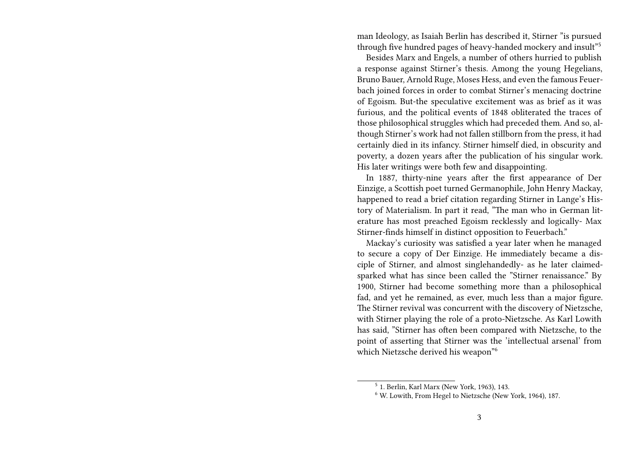man Ideology, as Isaiah Berlin has described it, Stirner "is pursued through five hundred pages of heavy-handed mockery and insult"<sup>5</sup>

Besides Marx and Engels, a number of others hurried to publish a response against Stirner's thesis. Among the young Hegelians, Bruno Bauer, Arnold Ruge, Moses Hess, and even the famous Feuerbach joined forces in order to combat Stirner's menacing doctrine of Egoism. But-the speculative excitement was as brief as it was furious, and the political events of 1848 obliterated the traces of those philosophical struggles which had preceded them. And so, although Stirner's work had not fallen stillborn from the press, it had certainly died in its infancy. Stirner himself died, in obscurity and poverty, a dozen years after the publication of his singular work. His later writings were both few and disappointing.

In 1887, thirty-nine years after the first appearance of Der Einzige, a Scottish poet turned Germanophile, John Henry Mackay, happened to read a brief citation regarding Stirner in Lange's History of Materialism. In part it read, "The man who in German literature has most preached Egoism recklessly and logically- Max Stirner-finds himself in distinct opposition to Feuerbach."

Mackay's curiosity was satisfied a year later when he managed to secure a copy of Der Einzige. He immediately became a disciple of Stirner, and almost singlehandedly- as he later claimedsparked what has since been called the "Stirner renaissance." By 1900, Stirner had become something more than a philosophical fad, and yet he remained, as ever, much less than a major figure. The Stirner revival was concurrent with the discovery of Nietzsche, with Stirner playing the role of a proto-Nietzsche. As Karl Lowith has said, "Stirner has often been compared with Nietzsche, to the point of asserting that Stirner was the 'intellectual arsenal' from which Nietzsche derived his weapon<sup>"6</sup>

<sup>5</sup> 1. Berlin, Karl Marx (New York, 1963), 143.

<sup>6</sup> W. Lowith, From Hegel to Nietzsche (New York, 1964), 187.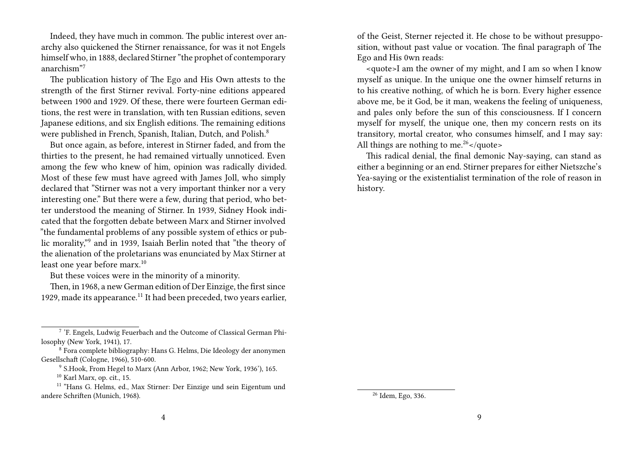Indeed, they have much in common. The public interest over anarchy also quickened the Stirner renaissance, for was it not Engels himself who, in 1888, declared Stirner "the prophet of contemporary anarchism"<sup>7</sup>

The publication history of The Ego and His Own attests to the strength of the first Stirner revival. Forty-nine editions appeared between 1900 and 1929. Of these, there were fourteen German editions, the rest were in translation, with ten Russian editions, seven Japanese editions, and six English editions. The remaining editions were published in French, Spanish, Italian, Dutch, and Polish.<sup>8</sup>

But once again, as before, interest in Stirner faded, and from the thirties to the present, he had remained virtually unnoticed. Even among the few who knew of him, opinion was radically divided. Most of these few must have agreed with James Joll, who simply declared that "Stirner was not a very important thinker nor a very interesting one." But there were a few, during that period, who better understood the meaning of Stirner. In 1939, Sidney Hook indicated that the forgotten debate between Marx and Stirner involved "the fundamental problems of any possible system of ethics or public morality,"<sup>9</sup> and in 1939, Isaiah Berlin noted that "the theory of the alienation of the proletarians was enunciated by Max Stirner at least one year before marx.<sup>10</sup>

But these voices were in the minority of a minority.

Then, in 1968, a new German edition of Der Einzige, the first since 1929, made its appearance.<sup>11</sup> It had been preceded, two years earlier, of the Geist, Sterner rejected it. He chose to be without presupposition, without past value or vocation. The final paragraph of The Ego and His 0wn reads:

<quote>I am the owner of my might, and I am so when I know myself as unique. In the unique one the owner himself returns in to his creative nothing, of which he is born. Every higher essence above me, be it God, be it man, weakens the feeling of uniqueness, and pales only before the sun of this consciousness. If I concern myself for myself, the unique one, then my concern rests on its transitory, mortal creator, who consumes himself, and I may say: All things are nothing to me. $26$  </quote>

This radical denial, the final demonic Nay-saying, can stand as either a beginning or an end. Stirner prepares for either Nietszche's Yea-saying or the existentialist termination of the role of reason in history.

<sup>&</sup>lt;sup>7</sup> 'F. Engels, Ludwig Feuerbach and the Outcome of Classical German Philosophy (New York, 1941), 17.

<sup>8</sup> Fora complete bibliography: Hans G. Helms, Die Ideology der anonymen Gesellschaft (Cologne, 1966), 510-600.

<sup>9</sup> S.Hook, From Hegel to Marx (Ann Arbor, 1962; New York, 1936'), 165.

<sup>10</sup> Karl Marx, op. cit., 15.

<sup>&</sup>lt;sup>11</sup> "Hans G. Helms, ed., Max Stirner: Der Einzige und sein Eigentum und andere Schriften (Munich, 1968).

<sup>26</sup> Idem, Ego, 336.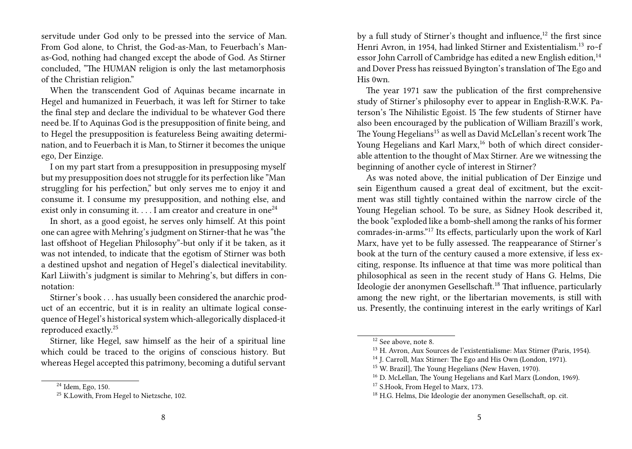servitude under God only to be pressed into the service of Man. From God alone, to Christ, the God-as-Man, to Feuerbach's Manas-God, nothing had changed except the abode of God. As Stirner concluded, "The HUMAN religion is only the last metamorphosis of the Christian religion."

When the transcendent God of Aquinas became incarnate in Hegel and humanized in Feuerbach, it was left for Stirner to take the final step and declare the individual to be whatever God there need be. If to Aquinas God is the presupposition of finite being, and to Hegel the presupposition is featureless Being awaiting determination, and to Feuerbach it is Man, to Stirner it becomes the unique ego, Der Einzige.

I on my part start from a presupposition in presupposing myself but my presupposition does not struggle for its perfection like "Man struggling for his perfection," but only serves me to enjoy it and consume it. I consume my presupposition, and nothing else, and exist only in consuming it.  $\dots$  I am creator and creature in one<sup>24</sup>

In short, as a good egoist, he serves only himself. At this point one can agree with Mehring's judgment on Stirner-that he was "the last offshoot of Hegelian Philosophy"-but only if it be taken, as it was not intended, to indicate that the egotism of Stirner was both a destined upshot and negation of Hegel's dialectical inevitability. Karl Liiwith's judgment is similar to Mehring's, but differs in connotation:

Stirner's book . . . has usually been considered the anarchic product of an eccentric, but it is in reality an ultimate logical consequence of Hegel's historical system which-allegorically displaced-it reproduced exactly.<sup>25</sup>

Stirner, like Hegel, saw himself as the heir of a spiritual line which could be traced to the origins of conscious history. But whereas Hegel accepted this patrimony, becoming a dutiful servant by a full study of Stirner's thought and influence, $12$  the first since Henri Avron, in 1954, had linked Stirner and Existentialism.<sup>13</sup> ro~f essor John Carroll of Cambridge has edited a new English edition,<sup>14</sup> and Dover Press has reissued Byington's translation of The Ego and His 0wn.

The year 1971 saw the publication of the first comprehensive study of Stirner's philosophy ever to appear in English-R.W.K. Paterson's The Nihilistic Egoist. l5 The few students of Stirner have also been encouraged by the publication of William Brazill's work, The Young Hegelians<sup>15</sup> as well as David McLellan's recent work The Young Hegelians and Karl Marx,<sup>16</sup> both of which direct considerable attention to the thought of Max Stirner. Are we witnessing the beginning of another cycle of interest in Stirner?

As was noted above, the initial publication of Der Einzige und sein Eigenthum caused a great deal of excitment, but the excitment was still tightly contained within the narrow circle of the Young Hegelian school. To be sure, as Sidney Hook described it, the book "exploded like a bomb-shell among the ranks of his former comrades-in-arms."<sup>17</sup> Its effects, particularly upon the work of Karl Marx, have yet to be fully assessed. The reappearance of Stirner's book at the turn of the century caused a more extensive, if less exciting, response. Its influence at that time was more political than philosophical as seen in the recent study of Hans G. Helms, Die Ideologie der anonymen Gesellschaft.<sup>18</sup> That influence, particularly among the new right, or the libertarian movements, is still with us. Presently, the continuing interest in the early writings of Karl

<sup>24</sup> Idem, Ego, 150.

<sup>&</sup>lt;sup>25</sup> K.Lowith, From Hegel to Nietzsche, 102.

<sup>12</sup> See above, note 8.

<sup>13</sup> H. Avron, Aux Sources de l'existentialisme: Max Stirner (Paris, 1954).

<sup>14</sup> J. Carroll, Max Stirner: The Ego and His Own (London, 1971).

<sup>15</sup> W. Brazil], The Young Hegelians (New Haven, 1970).

<sup>&</sup>lt;sup>16</sup> D. McLellan, The Young Hegelians and Karl Marx (London, 1969).

<sup>&</sup>lt;sup>17</sup> S.Hook, From Hegel to Marx, 173.

<sup>18</sup> H.G. Helms, Die Ideologie der anonymen Gesellschaft, op. cit.